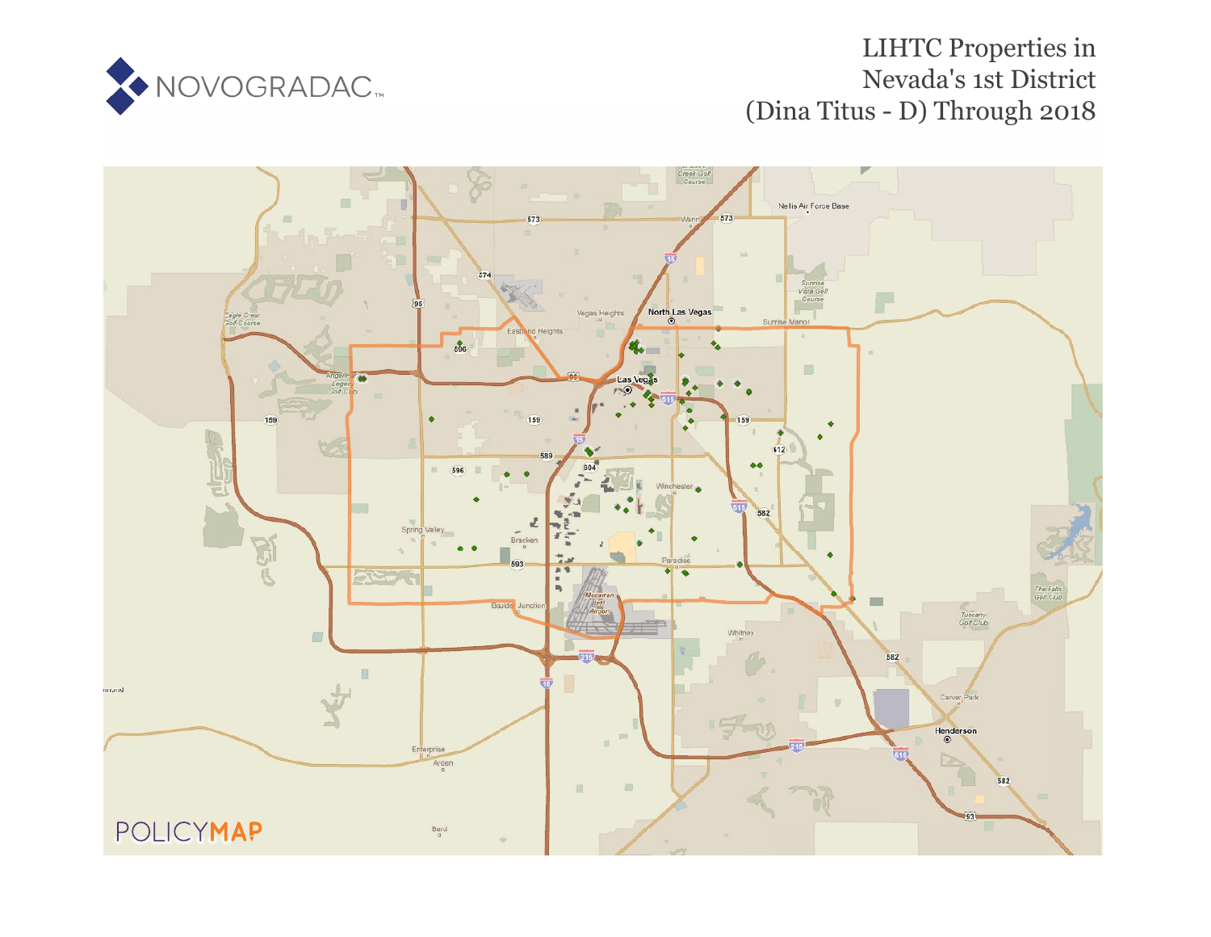

# LIHTC Properties in Nevada's 1st District (Dina Titus - D) Through 2018

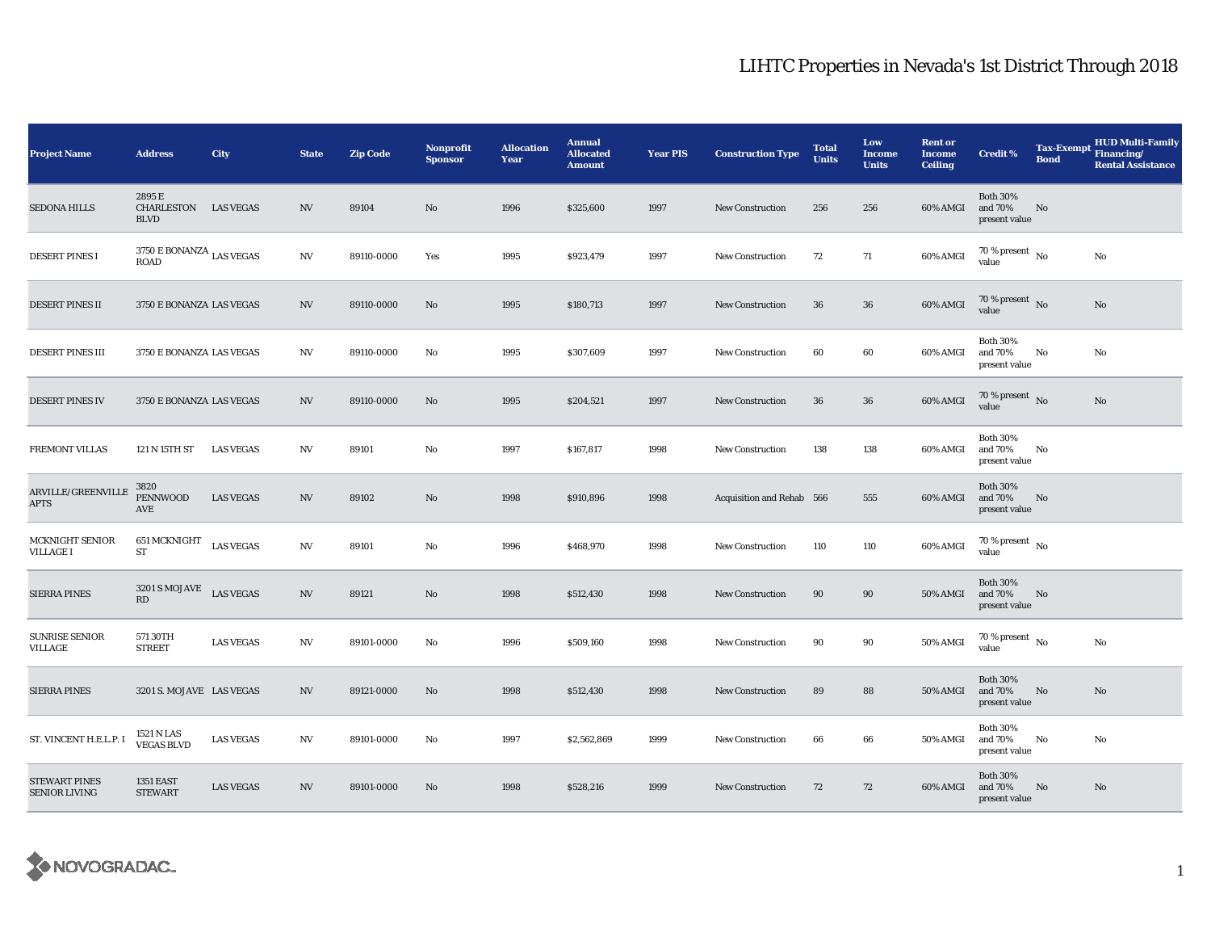| <b>Project Name</b>                          | <b>Address</b>                                           | <b>City</b>      | <b>State</b>     | <b>Zip Code</b> | Nonprofit<br><b>Sponsor</b> | <b>Allocation</b><br>Year | <b>Annual</b><br><b>Allocated</b><br><b>Amount</b> | <b>Year PIS</b> | <b>Construction Type</b>  | <b>Total</b><br><b>Units</b> | Low<br>Income<br><b>Units</b> | <b>Rent or</b><br><b>Income</b><br><b>Ceiling</b> | <b>Credit %</b>                             | Tax-Exempt Financing/<br><b>Bond</b> | <b>HUD Multi-Family</b><br><b>Rental Assistance</b> |
|----------------------------------------------|----------------------------------------------------------|------------------|------------------|-----------------|-----------------------------|---------------------------|----------------------------------------------------|-----------------|---------------------------|------------------------------|-------------------------------|---------------------------------------------------|---------------------------------------------|--------------------------------------|-----------------------------------------------------|
| <b>SEDONA HILLS</b>                          | 2895E<br>CHARLESTON<br><b>BLVD</b>                       | <b>LAS VEGAS</b> | $_{\mathrm{NV}}$ | 89104           | No                          | 1996                      | \$325,600                                          | 1997            | <b>New Construction</b>   | 256                          | 256                           | 60% AMGI                                          | <b>Both 30%</b><br>and 70%<br>present value | No                                   |                                                     |
| <b>DESERT PINES I</b>                        | $3750$ E BONANZA $_{\rm LAS}$ VEGAS<br><b>ROAD</b>       |                  | NV               | 89110-0000      | Yes                         | 1995                      | \$923,479                                          | 1997            | <b>New Construction</b>   | 72                           | 71                            | 60% AMGI                                          | $70\,\%$ present $\,$ No $\,$<br>value      |                                      | No                                                  |
| <b>DESERT PINES II</b>                       | 3750 E BONANZA LAS VEGAS                                 |                  | <b>NV</b>        | 89110-0000      | No                          | 1995                      | \$180,713                                          | 1997            | <b>New Construction</b>   | 36                           | 36                            | 60% AMGI                                          | $70$ % present $\,$ No value                |                                      | No                                                  |
| <b>DESERT PINES III</b>                      | 3750 E BONANZA LAS VEGAS                                 |                  | NV               | 89110-0000      | No                          | 1995                      | \$307,609                                          | 1997            | <b>New Construction</b>   | 60                           | 60                            | 60% AMGI                                          | <b>Both 30%</b><br>and 70%<br>present value | No                                   | No                                                  |
| <b>DESERT PINES IV</b>                       | 3750 E BONANZA LAS VEGAS                                 |                  | NV               | 89110-0000      | No                          | 1995                      | \$204,521                                          | 1997            | <b>New Construction</b>   | 36                           | 36                            | 60% AMGI                                          | 70 % present $\,$ No $\,$<br>value          |                                      | No                                                  |
| FREMONT VILLAS                               | 121 N 15TH ST LAS VEGAS                                  |                  | NV               | 89101           | No                          | 1997                      | \$167,817                                          | 1998            | <b>New Construction</b>   | 138                          | 138                           | 60% AMGI                                          | <b>Both 30%</b><br>and 70%<br>present value | No                                   |                                                     |
| ARVILLE/GREENVILLE<br><b>APTS</b>            | 3820<br><b>PENNWOOD</b><br>AVE                           | <b>LAS VEGAS</b> | NV               | 89102           | No                          | 1998                      | \$910,896                                          | 1998            | Acquisition and Rehab 566 |                              | 555                           | 60% AMGI                                          | <b>Both 30%</b><br>and 70%<br>present value | No                                   |                                                     |
| <b>MCKNIGHT SENIOR</b><br><b>VILLAGE I</b>   | 651 MCKNIGHT<br><b>ST</b>                                | <b>LAS VEGAS</b> | $_{\mathrm{NV}}$ | 89101           | No                          | 1996                      | \$468,970                                          | 1998            | <b>New Construction</b>   | 110                          | 110                           | 60% AMGI                                          | 70 % present $\hbox{~No}$<br>value          |                                      |                                                     |
| <b>SIERRA PINES</b>                          | $3201$ S MOJAVE $\;$ LAS VEGAS<br>$\mathbf{R}\mathbf{D}$ |                  | NV               | 89121           | No                          | 1998                      | \$512,430                                          | 1998            | <b>New Construction</b>   | 90                           | 90                            | 50% AMGI                                          | <b>Both 30%</b><br>and 70%<br>present value | No                                   |                                                     |
| <b>SUNRISE SENIOR</b><br>VILLAGE             | 571 30TH<br><b>STREET</b>                                | <b>LAS VEGAS</b> | NV               | 89101-0000      | No                          | 1996                      | \$509,160                                          | 1998            | <b>New Construction</b>   | 90                           | 90                            | 50% AMGI                                          | 70 % present $\hbox{~No}$<br>value          |                                      | No                                                  |
| <b>SIERRA PINES</b>                          | 3201 S. MOJAVE LAS VEGAS                                 |                  | <b>NV</b>        | 89121-0000      | No                          | 1998                      | \$512,430                                          | 1998            | <b>New Construction</b>   | 89                           | 88                            | <b>50% AMGI</b>                                   | <b>Both 30%</b><br>and 70%<br>present value | No                                   | No                                                  |
| ST. VINCENT H.E.L.P. I                       | 1521 N LAS<br><b>VEGAS BLVD</b>                          | <b>LAS VEGAS</b> | NV               | 89101-0000      | No                          | 1997                      | \$2,562,869                                        | 1999            | <b>New Construction</b>   | 66                           | 66                            | 50% AMGI                                          | <b>Both 30%</b><br>and 70%<br>present value | No                                   | No                                                  |
| <b>STEWART PINES</b><br><b>SENIOR LIVING</b> | <b>1351 EAST</b><br><b>STEWART</b>                       | <b>LAS VEGAS</b> | NV               | 89101-0000      | No                          | 1998                      | \$528,216                                          | 1999            | <b>New Construction</b>   | 72                           | 72                            | 60% AMGI                                          | <b>Both 30%</b><br>and 70%<br>present value | No                                   | No.                                                 |

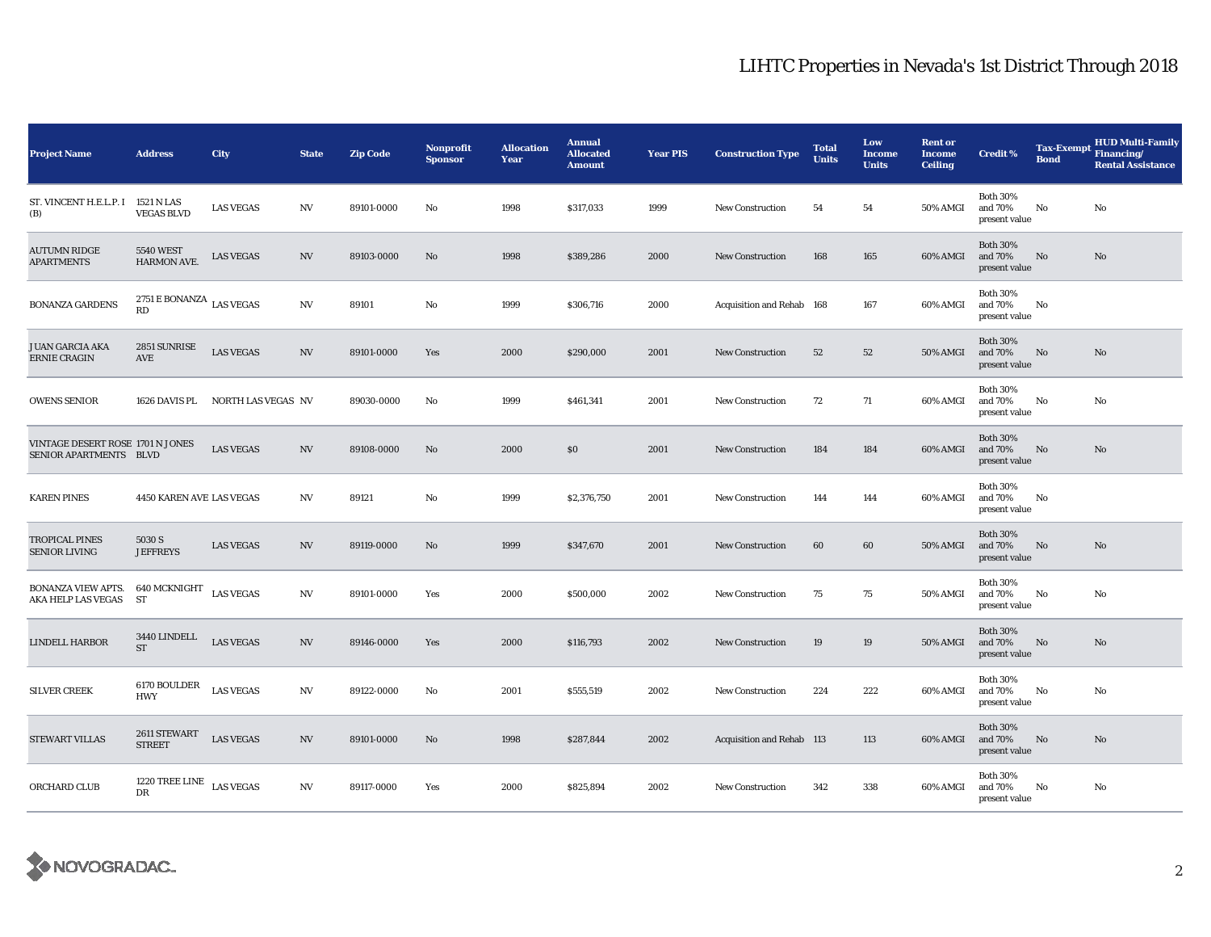| <b>Project Name</b>                                        | <b>Address</b>                                  | City                             | <b>State</b>           | <b>Zip Code</b> | Nonprofit<br><b>Sponsor</b> | <b>Allocation</b><br>Year | <b>Annual</b><br><b>Allocated</b><br><b>Amount</b> | <b>Year PIS</b> | <b>Construction Type</b>  | <b>Total</b><br><b>Units</b> | Low<br><b>Income</b><br><b>Units</b> | <b>Rent or</b><br><b>Income</b><br><b>Ceiling</b> | <b>Credit %</b>                             | <b>Tax-Exempt</b><br><b>Bond</b> | <b>HUD Multi-Family</b><br>Financing/<br><b>Rental Assistance</b> |
|------------------------------------------------------------|-------------------------------------------------|----------------------------------|------------------------|-----------------|-----------------------------|---------------------------|----------------------------------------------------|-----------------|---------------------------|------------------------------|--------------------------------------|---------------------------------------------------|---------------------------------------------|----------------------------------|-------------------------------------------------------------------|
| ST. VINCENT H.E.L.P. I 1521 N LAS<br>(B)                   | <b>VEGAS BLVD</b>                               | <b>LAS VEGAS</b>                 | N V                    | 89101-0000      | No                          | 1998                      | \$317,033                                          | 1999            | <b>New Construction</b>   | 54                           | 54                                   | 50% AMGI                                          | <b>Both 30%</b><br>and 70%<br>present value | No                               | No                                                                |
| <b>AUTUMN RIDGE</b><br><b>APARTMENTS</b>                   | <b>5540 WEST</b><br>HARMON AVE.                 | <b>LAS VEGAS</b>                 | N V                    | 89103-0000      | No                          | 1998                      | \$389,286                                          | 2000            | <b>New Construction</b>   | 168                          | 165                                  | 60% AMGI                                          | <b>Both 30%</b><br>and 70%<br>present value | No                               | No                                                                |
| <b>BONANZA GARDENS</b>                                     | $2751\to \text{BONANZA}\xspace$ LAS VEGAS<br>RD |                                  | N V                    | 89101           | No                          | 1999                      | \$306,716                                          | 2000            | Acquisition and Rehab 168 |                              | 167                                  | 60% AMGI                                          | <b>Both 30%</b><br>and 70%<br>present value | No                               |                                                                   |
| <b>JUAN GARCIA AKA</b><br><b>ERNIE CRAGIN</b>              | 2851 SUNRISE<br>AVE                             | <b>LAS VEGAS</b>                 | N V                    | 89101-0000      | Yes                         | 2000                      | \$290,000                                          | 2001            | <b>New Construction</b>   | 52                           | 52                                   | 50% AMGI                                          | <b>Both 30%</b><br>and 70%<br>present value | No                               | $\rm No$                                                          |
| <b>OWENS SENIOR</b>                                        |                                                 | 1626 DAVIS PL NORTH LAS VEGAS NV |                        | 89030-0000      | No                          | 1999                      | \$461,341                                          | 2001            | <b>New Construction</b>   | 72                           | 71                                   | 60% AMGI                                          | <b>Both 30%</b><br>and 70%<br>present value | No                               | No                                                                |
| VINTAGE DESERT ROSE 1701 N JONES<br>SENIOR APARTMENTS BLVD |                                                 | <b>LAS VEGAS</b>                 | N V                    | 89108-0000      | No                          | 2000                      | \$0                                                | 2001            | New Construction          | 184                          | 184                                  | 60% AMGI                                          | <b>Both 30%</b><br>and 70%<br>present value | No                               | No                                                                |
| <b>KAREN PINES</b>                                         | 4450 KAREN AVE LAS VEGAS                        |                                  | N V                    | 89121           | No                          | 1999                      | \$2,376,750                                        | 2001            | <b>New Construction</b>   | 144                          | 144                                  | 60% AMGI                                          | <b>Both 30%</b><br>and 70%<br>present value | No                               |                                                                   |
| <b>TROPICAL PINES</b><br><b>SENIOR LIVING</b>              | 5030 S<br><b>JEFFREYS</b>                       | <b>LAS VEGAS</b>                 | $_{\mathrm{NV}}$       | 89119-0000      | No                          | 1999                      | \$347,670                                          | 2001            | <b>New Construction</b>   | 60                           | 60                                   | 50% AMGI                                          | <b>Both 30%</b><br>and 70%<br>present value | No                               | No                                                                |
| BONANZA VIEW APTS.<br>AKA HELP LAS VEGAS                   | 640 MCKNIGHT<br>ST                              | <b>LAS VEGAS</b>                 | $\mathbf{N}\mathbf{V}$ | 89101-0000      | Yes                         | 2000                      | \$500,000                                          | 2002            | <b>New Construction</b>   | 75                           | 75                                   | <b>50% AMGI</b>                                   | <b>Both 30%</b><br>and 70%<br>present value | No                               | No                                                                |
| <b>LINDELL HARBOR</b>                                      | 3440 LINDELL<br><b>ST</b>                       | <b>LAS VEGAS</b>                 | NV                     | 89146-0000      | Yes                         | 2000                      | \$116,793                                          | 2002            | <b>New Construction</b>   | 19                           | 19                                   | 50% AMGI                                          | <b>Both 30%</b><br>and 70%<br>present value | No                               | No                                                                |
| <b>SILVER CREEK</b>                                        | 6170 BOULDER<br><b>HWY</b>                      | <b>LAS VEGAS</b>                 | N V                    | 89122-0000      | No                          | 2001                      | \$555,519                                          | 2002            | <b>New Construction</b>   | 224                          | 222                                  | 60% AMGI                                          | <b>Both 30%</b><br>and 70%<br>present value | No                               | No                                                                |
| STEWART VILLAS                                             | 2611 STEWART<br><b>STREET</b>                   | <b>LAS VEGAS</b>                 | N V                    | 89101-0000      | No                          | 1998                      | \$287,844                                          | 2002            | Acquisition and Rehab 113 |                              | 113                                  | 60% AMGI                                          | <b>Both 30%</b><br>and 70%<br>present value | No                               | No                                                                |
| ORCHARD CLUB                                               | 1220 TREE LINE<br>DR                            | <b>LAS VEGAS</b>                 | $_{\mathrm{NV}}$       | 89117-0000      | Yes                         | 2000                      | \$825,894                                          | 2002            | <b>New Construction</b>   | 342                          | 338                                  | 60% AMGI                                          | <b>Both 30%</b><br>and 70%<br>present value | No                               | No                                                                |

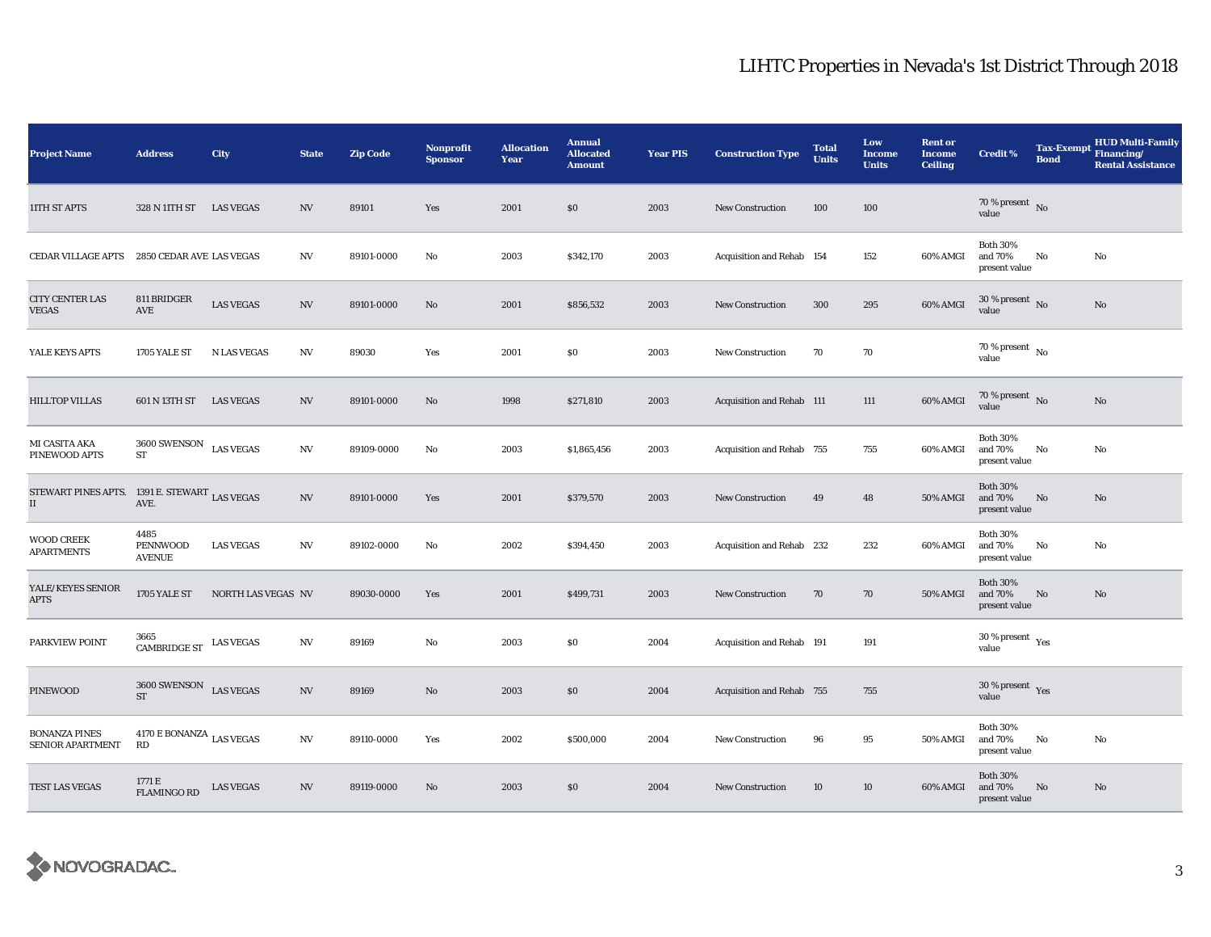| <b>Project Name</b>                                 | <b>Address</b>                                                              | City               | <b>State</b>             | <b>Zip Code</b> | <b>Nonprofit</b><br><b>Sponsor</b> | <b>Allocation</b><br>Year | <b>Annual</b><br><b>Allocated</b><br><b>Amount</b> | <b>Year PIS</b> | <b>Construction Type</b>  | <b>Total</b><br><b>Units</b> | Low<br><b>Income</b><br><b>Units</b> | <b>Rent or</b><br><b>Income</b><br><b>Ceiling</b> | <b>Credit %</b>                             | <b>Tax-Exempt</b><br><b>Bond</b> | <b>HUD Multi-Family</b><br>Financing/<br><b>Rental Assistance</b> |
|-----------------------------------------------------|-----------------------------------------------------------------------------|--------------------|--------------------------|-----------------|------------------------------------|---------------------------|----------------------------------------------------|-----------------|---------------------------|------------------------------|--------------------------------------|---------------------------------------------------|---------------------------------------------|----------------------------------|-------------------------------------------------------------------|
| 11TH ST APTS                                        | 328 N 11TH ST                                                               | <b>LAS VEGAS</b>   | <b>NV</b>                | 89101           | Yes                                | 2001                      | \$0                                                | 2003            | <b>New Construction</b>   | 100                          | 100                                  |                                                   | 70 % present $\hbox{~No}$<br>value          |                                  |                                                                   |
| CEDAR VILLAGE APTS                                  | 2850 CEDAR AVE LAS VEGAS                                                    |                    | <b>NV</b>                | 89101-0000      | No                                 | 2003                      | \$342,170                                          | 2003            | Acquisition and Rehab 154 |                              | 152                                  | 60% AMGI                                          | <b>Both 30%</b><br>and 70%<br>present value | No                               | No                                                                |
| CITY CENTER LAS<br><b>VEGAS</b>                     | 811 BRIDGER<br>AVE                                                          | <b>LAS VEGAS</b>   | <b>NV</b>                | 89101-0000      | No                                 | 2001                      | \$856,532                                          | 2003            | <b>New Construction</b>   | 300                          | 295                                  | 60% AMGI                                          | $30\,\%$ present $\,$ No value              |                                  | No                                                                |
| YALE KEYS APTS                                      | 1705 YALE ST                                                                | <b>N LAS VEGAS</b> | <b>NV</b>                | 89030           | Yes                                | 2001                      | \$0                                                | 2003            | <b>New Construction</b>   | 70                           | 70                                   |                                                   | 70 % present $\,$ No $\,$<br>value          |                                  |                                                                   |
| <b>HILLTOP VILLAS</b>                               | 601 N 13TH ST                                                               | <b>LAS VEGAS</b>   | NV                       | 89101-0000      | $\mathbf{N}\mathbf{o}$             | 1998                      | \$271,810                                          | 2003            | Acquisition and Rehab 111 |                              | 111                                  | 60% AMGI                                          | 70 % present $\hbox{~No}$<br>value          |                                  | No                                                                |
| MI CASITA AKA<br>PINEWOOD APTS                      | $3600\, \rm SWENSON$<br>ST                                                  | <b>LAS VEGAS</b>   | NV                       | 89109-0000      | No                                 | 2003                      | \$1,865,456                                        | 2003            | Acquisition and Rehab 755 |                              | 755                                  | 60% AMGI                                          | <b>Both 30%</b><br>and 70%<br>present value | No                               | No                                                                |
| STEWART PINES APTS. 1391 E. STEWART LAS VEGAS<br>II | AVE.                                                                        |                    | <b>NV</b>                | 89101-0000      | Yes                                | 2001                      | \$379,570                                          | 2003            | <b>New Construction</b>   | 49                           | 48                                   | <b>50% AMGI</b>                                   | <b>Both 30%</b><br>and 70%<br>present value | No                               | No                                                                |
| <b>WOOD CREEK</b><br><b>APARTMENTS</b>              | 4485<br><b>PENNWOOD</b><br><b>AVENUE</b>                                    | <b>LAS VEGAS</b>   | NV                       | 89102-0000      | No                                 | 2002                      | \$394,450                                          | 2003            | Acquisition and Rehab 232 |                              | 232                                  | 60% AMGI                                          | <b>Both 30%</b><br>and 70%<br>present value | No                               | No                                                                |
| YALE/KEYES SENIOR<br><b>APTS</b>                    | 1705 YALE ST                                                                | NORTH LAS VEGAS NV |                          | 89030-0000      | Yes                                | 2001                      | \$499,731                                          | 2003            | New Construction          | 70                           | 70                                   | 50% AMGI                                          | <b>Both 30%</b><br>and 70%<br>present value | No                               | No                                                                |
| PARKVIEW POINT                                      | 3665<br>$\begin{matrix}\text{CAMBRIDGE ST} & \text{LAS VEGAS} \end{matrix}$ |                    | N <sub>V</sub>           | 89169           | No                                 | 2003                      | \$0                                                | 2004            | Acquisition and Rehab 191 |                              | 191                                  |                                                   | $30\,\%$ present $\,$ $\rm Yes$<br>value    |                                  |                                                                   |
| PINEWOOD                                            | $3600 \, \rm SWENSON$ $\_$ LAS VEGAS<br><b>ST</b>                           |                    | $\ensuremath{\text{NV}}$ | 89169           | No                                 | 2003                      | S <sub>0</sub>                                     | 2004            | Acquisition and Rehab 755 |                              | 755                                  |                                                   | $30$ % present $\,$ $\rm Yes$<br>value      |                                  |                                                                   |
| <b>BONANZA PINES</b><br><b>SENIOR APARTMENT</b>     | $4170$ E BONANZA $_{\rm LAS}$ vegas<br>RD                                   |                    | $\ensuremath{\text{NV}}$ | 89110-0000      | Yes                                | 2002                      | \$500,000                                          | 2004            | <b>New Construction</b>   | 96                           | 95                                   | 50% AMGI                                          | <b>Both 30%</b><br>and 70%<br>present value | No                               | No                                                                |
| TEST LAS VEGAS                                      | 1771 E<br><b>FLAMINGO RD</b>                                                | <b>LAS VEGAS</b>   | NV                       | 89119-0000      | No                                 | 2003                      | \$0                                                | 2004            | <b>New Construction</b>   | 10                           | 10                                   | 60% AMGI                                          | <b>Both 30%</b><br>and 70%<br>present value | No                               | No                                                                |

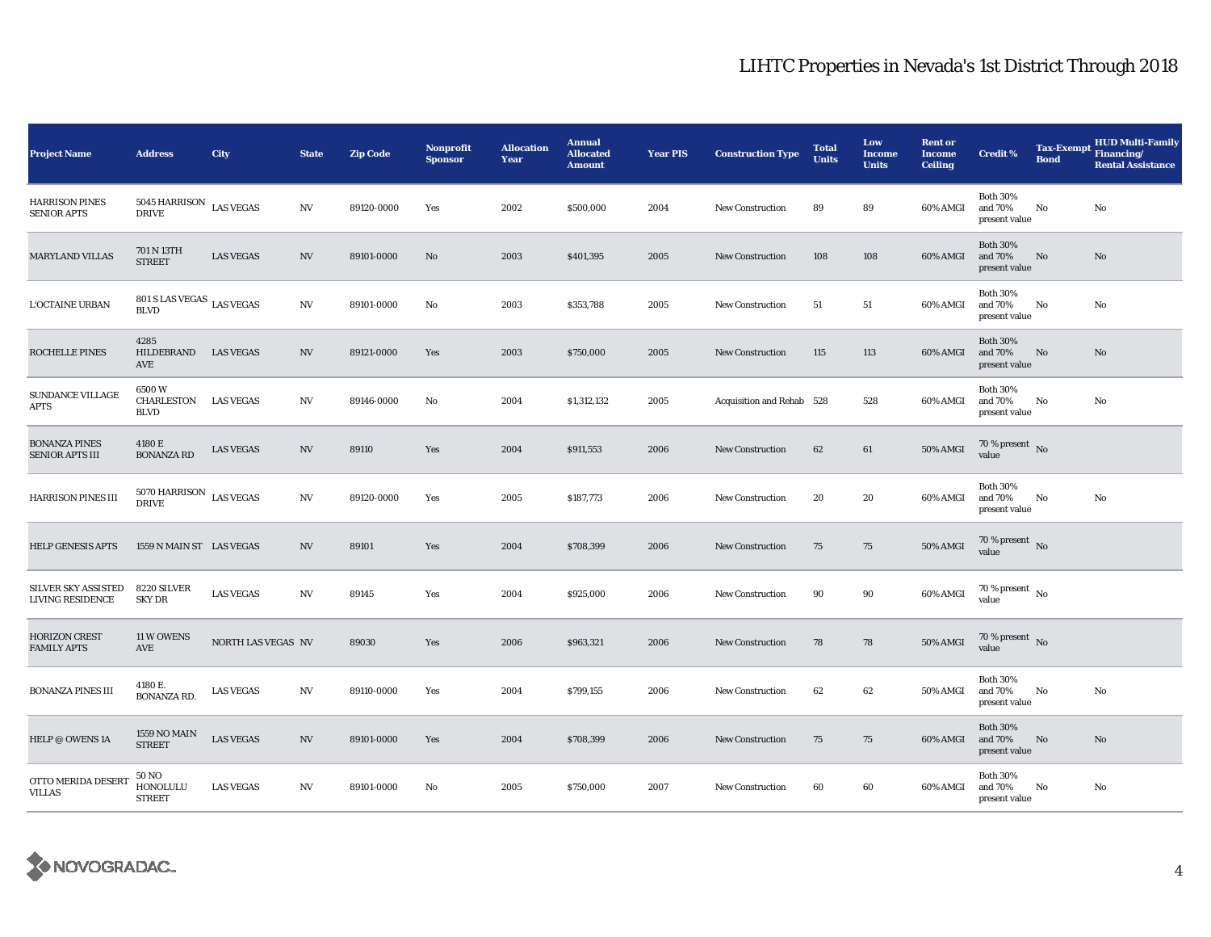| <b>Project Name</b>                                   | <b>Address</b>                                  | City               | <b>State</b>           | <b>Zip Code</b> | <b>Nonprofit</b><br><b>Sponsor</b> | <b>Allocation</b><br>Year | <b>Annual</b><br><b>Allocated</b><br><b>Amount</b> | <b>Year PIS</b> | <b>Construction Type</b>  | <b>Total</b><br><b>Units</b> | Low<br><b>Income</b><br><b>Units</b> | <b>Rent or</b><br><b>Income</b><br><b>Ceiling</b> | <b>Credit %</b>                             | <b>Bond</b>   | <b>HUD Multi-Family</b><br>Tax-Exempt Financing/<br><b>Rental Assistance</b> |
|-------------------------------------------------------|-------------------------------------------------|--------------------|------------------------|-----------------|------------------------------------|---------------------------|----------------------------------------------------|-----------------|---------------------------|------------------------------|--------------------------------------|---------------------------------------------------|---------------------------------------------|---------------|------------------------------------------------------------------------------|
| <b>HARRISON PINES</b><br><b>SENIOR APTS</b>           | 5045 HARRISON<br><b>DRIVE</b>                   | <b>LAS VEGAS</b>   | $\mathbf{N}\mathbf{V}$ | 89120-0000      | Yes                                | 2002                      | \$500,000                                          | 2004            | <b>New Construction</b>   | 89                           | 89                                   | 60% AMGI                                          | <b>Both 30%</b><br>and 70%<br>present value | $\mathbf{No}$ | No                                                                           |
| <b>MARYLAND VILLAS</b>                                | 701 N 13TH<br><b>STREET</b>                     | <b>LAS VEGAS</b>   | N V                    | 89101-0000      | No                                 | 2003                      | \$401,395                                          | 2005            | <b>New Construction</b>   | 108                          | 108                                  | 60% AMGI                                          | <b>Both 30%</b><br>and 70%<br>present value | No            | No                                                                           |
| <b>L'OCTAINE URBAN</b>                                | $801$ S LAS VEGAS $\,$ LAS VEGAS<br><b>BLVD</b> |                    | N V                    | 89101-0000      | No                                 | 2003                      | \$353,788                                          | 2005            | New Construction          | 51                           | 51                                   | 60% AMGI                                          | <b>Both 30%</b><br>and 70%<br>present value | No            | No                                                                           |
| ROCHELLE PINES                                        | 4285<br>HILDEBRAND<br>AVE                       | <b>LAS VEGAS</b>   | <b>NV</b>              | 89121-0000      | Yes                                | 2003                      | \$750,000                                          | 2005            | <b>New Construction</b>   | 115                          | 113                                  | 60% AMGI                                          | <b>Both 30%</b><br>and 70%<br>present value | No            | No                                                                           |
| <b>SUNDANCE VILLAGE</b><br><b>APTS</b>                | 6500W<br>CHARLESTON<br><b>BLVD</b>              | <b>LAS VEGAS</b>   | N V                    | 89146-0000      | No                                 | 2004                      | \$1,312,132                                        | 2005            | Acquisition and Rehab 528 |                              | 528                                  | 60% AMGI                                          | <b>Both 30%</b><br>and 70%<br>present value | No            | No                                                                           |
| <b>BONANZA PINES</b><br>SENIOR APTS III               | 4180 E<br><b>BONANZA RD</b>                     | <b>LAS VEGAS</b>   | N V                    | 89110           | Yes                                | 2004                      | \$911,553                                          | 2006            | <b>New Construction</b>   | 62                           | 61                                   | 50% AMGI                                          | 70 % present $\hbox{~No}$<br>value          |               |                                                                              |
| <b>HARRISON PINES III</b>                             | $5070$ HARRISON $\,$ LAS VEGAS<br><b>DRIVE</b>  |                    | N V                    | 89120-0000      | Yes                                | 2005                      | \$187,773                                          | 2006            | <b>New Construction</b>   | 20                           | 20                                   | 60% AMGI                                          | <b>Both 30%</b><br>and 70%<br>present value | No            | No                                                                           |
| <b>HELP GENESIS APTS</b>                              | 1559 N MAIN ST LAS VEGAS                        |                    | N V                    | 89101           | Yes                                | 2004                      | \$708,399                                          | 2006            | <b>New Construction</b>   | 75                           | 75                                   | 50% AMGI                                          | 70 % present $\,$ No $\,$<br>value          |               |                                                                              |
| <b>SILVER SKY ASSISTED</b><br><b>LIVING RESIDENCE</b> | 8220 SILVER<br><b>SKY DR</b>                    | <b>LAS VEGAS</b>   | $\mathbf{N}\mathbf{V}$ | 89145           | Yes                                | 2004                      | \$925,000                                          | 2006            | <b>New Construction</b>   | 90                           | 90                                   | 60% AMGI                                          | $70$ % present $\,$ No $\,$<br>value        |               |                                                                              |
| <b>HORIZON CREST</b><br><b>FAMILY APTS</b>            | 11 W OWENS<br>AVE                               | NORTH LAS VEGAS NV |                        | 89030           | Yes                                | 2006                      | \$963,321                                          | 2006            | New Construction          | 78                           | 78                                   | 50% AMGI                                          | 70 % present $\,$ No $\,$<br>value          |               |                                                                              |
| <b>BONANZA PINES III</b>                              | 4180 E.<br><b>BONANZA RD.</b>                   | <b>LAS VEGAS</b>   | N V                    | 89110-0000      | Yes                                | 2004                      | \$799,155                                          | 2006            | <b>New Construction</b>   | 62                           | 62                                   | 50% AMGI                                          | <b>Both 30%</b><br>and 70%<br>present value | No            | No                                                                           |
| HELP @ OWENS 1A                                       | <b>1559 NO MAIN</b><br><b>STREET</b>            | <b>LAS VEGAS</b>   | $\mathbf{N}\mathbf{V}$ | 89101-0000      | Yes                                | 2004                      | \$708,399                                          | 2006            | New Construction          | 75                           | 75                                   | 60% AMGI                                          | <b>Both 30%</b><br>and 70%<br>present value | No            | No                                                                           |
| OTTO MERIDA DESERT<br><b>VILLAS</b>                   | <b>50 NO</b><br>HONOLULU<br><b>STREET</b>       | <b>LAS VEGAS</b>   | N V                    | 89101-0000      | No                                 | 2005                      | \$750,000                                          | 2007            | <b>New Construction</b>   | 60                           | 60                                   | 60% AMGI                                          | <b>Both 30%</b><br>and 70%<br>present value | No            | No                                                                           |

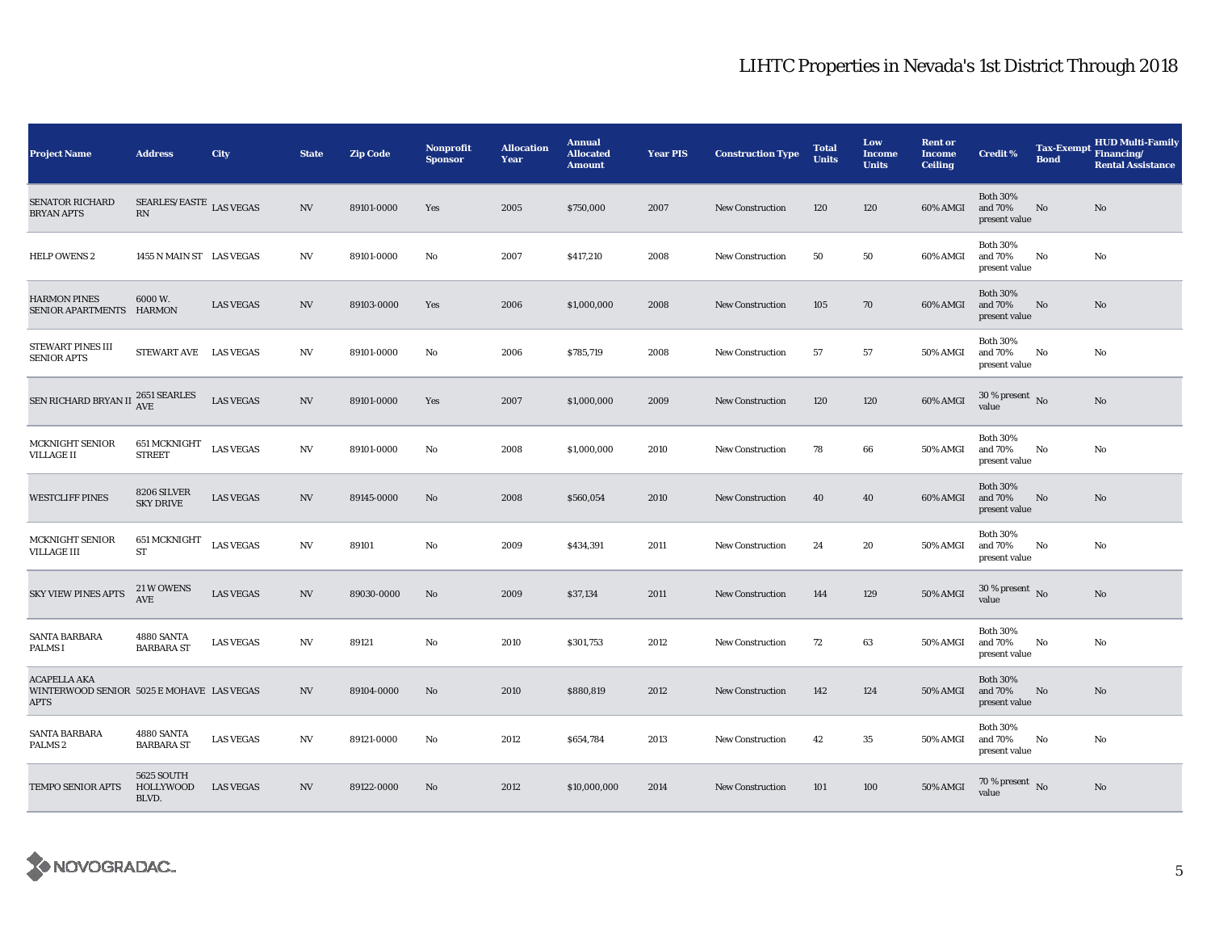| <b>Project Name</b>                                                             | <b>Address</b>                                             | City             | <b>State</b>             | <b>Zip Code</b> | <b>Nonprofit</b><br><b>Sponsor</b> | <b>Allocation</b><br>Year | <b>Annual</b><br><b>Allocated</b><br><b>Amount</b> | <b>Year PIS</b> | <b>Construction Type</b> | <b>Total</b><br><b>Units</b> | Low<br><b>Income</b><br><b>Units</b> | <b>Rent or</b><br><b>Income</b><br><b>Ceiling</b> | <b>Credit %</b>                                | <b>Tax-Exempt</b><br><b>Bond</b> | <b>HUD Multi-Family</b><br>Financing/<br><b>Rental Assistance</b> |
|---------------------------------------------------------------------------------|------------------------------------------------------------|------------------|--------------------------|-----------------|------------------------------------|---------------------------|----------------------------------------------------|-----------------|--------------------------|------------------------------|--------------------------------------|---------------------------------------------------|------------------------------------------------|----------------------------------|-------------------------------------------------------------------|
| <b>SENATOR RICHARD</b><br><b>BRYAN APTS</b>                                     | SEARLES/EASTE $_{\rm LAS}$ vegas<br>$\mathbb{R}\mathbf{N}$ |                  | $\ensuremath{\text{NV}}$ | 89101-0000      | Yes                                | 2005                      | \$750,000                                          | 2007            | <b>New Construction</b>  | 120                          | 120                                  | 60% AMGI                                          | <b>Both 30%</b><br>and 70%<br>present value    | No                               | No                                                                |
| <b>HELP OWENS 2</b>                                                             | 1455 N MAIN ST LAS VEGAS                                   |                  | NV                       | 89101-0000      | No                                 | 2007                      | \$417,210                                          | 2008            | <b>New Construction</b>  | 50                           | 50                                   | 60% AMGI                                          | <b>Both 30%</b><br>and 70%<br>present value    | No                               | No                                                                |
| <b>HARMON PINES</b><br>SENIOR APARTMENTS HARMON                                 | 6000 W.                                                    | <b>LAS VEGAS</b> | <b>NV</b>                | 89103-0000      | Yes                                | 2006                      | \$1,000,000                                        | 2008            | <b>New Construction</b>  | 105                          | 70                                   | 60% AMGI                                          | <b>Both 30%</b><br>and 70%<br>present value    | No                               | No                                                                |
| STEWART PINES III<br><b>SENIOR APTS</b>                                         | STEWART AVE LAS VEGAS                                      |                  | NV                       | 89101-0000      | No                                 | 2006                      | \$785,719                                          | 2008            | <b>New Construction</b>  | 57                           | 57                                   | 50% AMGI                                          | <b>Both 30%</b><br>and 70%<br>present value    | No                               | No                                                                |
| SEN RICHARD BRYAN II                                                            | 2651 SEARLES<br>AVE                                        | <b>LAS VEGAS</b> | $_{\mathrm{NV}}$         | 89101-0000      | Yes                                | 2007                      | \$1,000,000                                        | 2009            | New Construction         | 120                          | 120                                  | 60% AMGI                                          | $30$ % present $\,$ No $\,$<br>value           |                                  | No                                                                |
| MCKNIGHT SENIOR<br><b>VILLAGE II</b>                                            | <b>651 MCKNIGHT</b><br><b>STREET</b>                       | <b>LAS VEGAS</b> | N V                      | 89101-0000      | No                                 | 2008                      | \$1,000,000                                        | 2010            | <b>New Construction</b>  | 78                           | 66                                   | <b>50% AMGI</b>                                   | <b>Both 30%</b><br>and 70%<br>present value    | No                               | No                                                                |
| <b>WESTCLIFF PINES</b>                                                          | 8206 SILVER<br><b>SKY DRIVE</b>                            | <b>LAS VEGAS</b> | <b>NV</b>                | 89145-0000      | No                                 | 2008                      | \$560,054                                          | 2010            | <b>New Construction</b>  | 40                           | 40                                   | 60% AMGI                                          | <b>Both 30%</b><br>and 70%<br>present value    | $\mathbf{No}$                    | No                                                                |
| MCKNIGHT SENIOR<br><b>VILLAGE III</b>                                           | 651 MCKNIGHT<br><b>ST</b>                                  | <b>LAS VEGAS</b> | $\ensuremath{\text{NV}}$ | 89101           | No                                 | 2009                      | \$434,391                                          | 2011            | <b>New Construction</b>  | 24                           | 20                                   | 50% AMGI                                          | <b>Both 30%</b><br>and 70%<br>present value    | No                               | No                                                                |
| <b>SKY VIEW PINES APTS</b>                                                      | 21 W OWENS<br>$\operatorname{AVE}$                         | <b>LAS VEGAS</b> | <b>NV</b>                | 89030-0000      | No                                 | 2009                      | \$37,134                                           | 2011            | <b>New Construction</b>  | 144                          | 129                                  | <b>50% AMGI</b>                                   | $30$ % present $\,$ No $\,$<br>value           |                                  | No                                                                |
| SANTA BARBARA<br>PALMS I                                                        | 4880 SANTA<br><b>BARBARA ST</b>                            | <b>LAS VEGAS</b> | <b>NV</b>                | 89121           | No                                 | 2010                      | \$301,753                                          | 2012            | <b>New Construction</b>  | 72                           | 63                                   | <b>50% AMGI</b>                                   | <b>Both 30%</b><br>and 70%<br>present value    | No                               | No                                                                |
| <b>ACAPELLA AKA</b><br>WINTERWOOD SENIOR 5025 E MOHAVE LAS VEGAS<br><b>APTS</b> |                                                            |                  | <b>NV</b>                | 89104-0000      | No                                 | 2010                      | \$880,819                                          | 2012            | <b>New Construction</b>  | 142                          | 124                                  | <b>50% AMGI</b>                                   | <b>Both 30%</b><br>and 70%<br>present value    | No                               | No                                                                |
| SANTA BARBARA<br>PALMS <sub>2</sub>                                             | 4880 SANTA<br><b>BARBARA ST</b>                            | <b>LAS VEGAS</b> | <b>NV</b>                | 89121-0000      | No                                 | 2012                      | \$654,784                                          | 2013            | <b>New Construction</b>  | 42                           | 35                                   | <b>50% AMGI</b>                                   | <b>Both 30%</b><br>and $70\%$<br>present value | No                               | No                                                                |
| TEMPO SENIOR APTS                                                               | <b>5625 SOUTH</b><br>HOLLYWOOD<br>BLVD.                    | <b>LAS VEGAS</b> | <b>NV</b>                | 89122-0000      | No                                 | 2012                      | \$10,000,000                                       | 2014            | <b>New Construction</b>  | 101                          | 100                                  | 50% AMGI                                          | $70$ % present $\,$ No $\,$<br>value           |                                  | No                                                                |

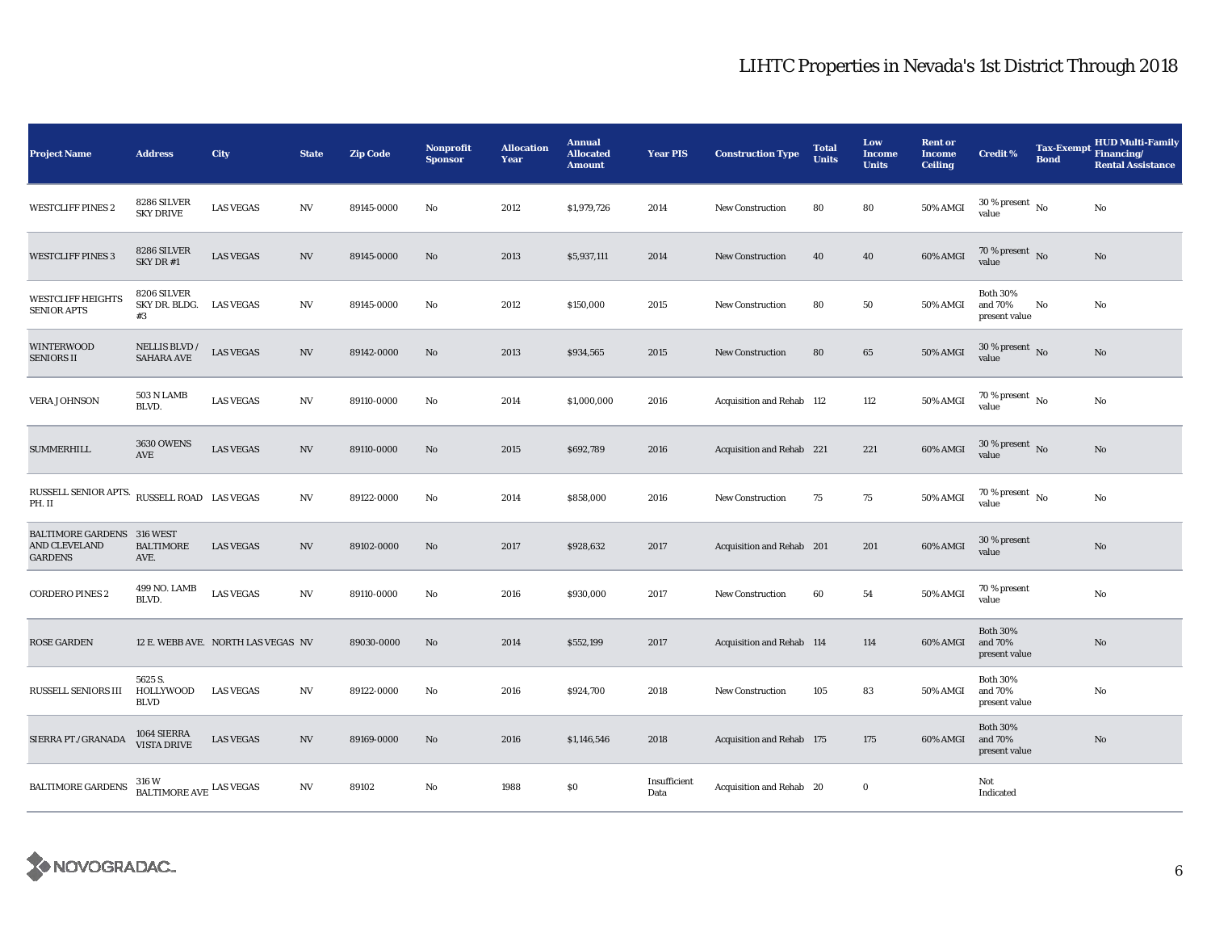| <b>Project Name</b>                                                  | <b>Address</b>                      | City                               | <b>State</b>     | <b>Zip Code</b> | Nonprofit<br><b>Sponsor</b> | <b>Allocation</b><br>Year | <b>Annual</b><br><b>Allocated</b><br><b>Amount</b> | <b>Year PIS</b>      | <b>Construction Type</b>  | <b>Total</b><br><b>Units</b> | Low<br><b>Income</b><br><b>Units</b> | <b>Rent or</b><br><b>Income</b><br><b>Ceiling</b> | <b>Credit %</b>                             | <b>Tax-Exempt</b><br><b>Bond</b> | <b>HUD Multi-Family</b><br>Financing/<br><b>Rental Assistance</b> |
|----------------------------------------------------------------------|-------------------------------------|------------------------------------|------------------|-----------------|-----------------------------|---------------------------|----------------------------------------------------|----------------------|---------------------------|------------------------------|--------------------------------------|---------------------------------------------------|---------------------------------------------|----------------------------------|-------------------------------------------------------------------|
| <b>WESTCLIFF PINES 2</b>                                             | 8286 SILVER<br><b>SKY DRIVE</b>     | <b>LAS VEGAS</b>                   | $_{\mathrm{NV}}$ | 89145-0000      | No                          | 2012                      | \$1,979,726                                        | 2014                 | <b>New Construction</b>   | 80                           | 80                                   | 50% AMGI                                          | $30$ % present $\,$ No $\,$<br>value        |                                  | No                                                                |
| <b>WESTCLIFF PINES 3</b>                                             | 8286 SILVER<br>SKY DR #1            | <b>LAS VEGAS</b>                   | NV               | 89145-0000      | No                          | 2013                      | \$5,937,111                                        | 2014                 | New Construction          | 40                           | 40                                   | 60% AMGI                                          | 70 % present $\bar{N}$ o<br>value           |                                  | $\rm No$                                                          |
| <b>WESTCLIFF HEIGHTS</b><br><b>SENIOR APTS</b>                       | 8206 SILVER<br>SKY DR. BLDG.<br>#3  | <b>LAS VEGAS</b>                   | N V              | 89145-0000      | No                          | 2012                      | \$150,000                                          | 2015                 | New Construction          | 80                           | 50                                   | <b>50% AMGI</b>                                   | <b>Both 30%</b><br>and 70%<br>present value | No                               | No                                                                |
| <b>WINTERWOOD</b><br><b>SENIORS II</b>                               | NELLIS BLVD /<br><b>SAHARA AVE</b>  | <b>LAS VEGAS</b>                   | NV               | 89142-0000      | No                          | 2013                      | \$934,565                                          | 2015                 | <b>New Construction</b>   | 80                           | 65                                   | <b>50% AMGI</b>                                   | 30 % present $\,$ No $\,$<br>value          |                                  | No                                                                |
| <b>VERA JOHNSON</b>                                                  | 503 N LAMB<br>BLVD.                 | <b>LAS VEGAS</b>                   | $_{\mathrm{NV}}$ | 89110-0000      | No                          | 2014                      | \$1,000,000                                        | 2016                 | Acquisition and Rehab 112 |                              | 112                                  | 50% AMGI                                          | $70$ % present $\,$ No $\,$<br>value        |                                  | No                                                                |
| <b>SUMMERHILL</b>                                                    | <b>3630 OWENS</b><br>AVE            | <b>LAS VEGAS</b>                   | $_{\mathrm{NV}}$ | 89110-0000      | No                          | 2015                      | \$692,789                                          | 2016                 | Acquisition and Rehab 221 |                              | 221                                  | 60% AMGI                                          | $30\,\%$ present $\,$ No value              |                                  | No                                                                |
| RUSSELL SENIOR APTS.<br>PH. II                                       | RUSSELL ROAD LAS VEGAS              |                                    | $_{\mathrm{NV}}$ | 89122-0000      | No                          | 2014                      | \$858,000                                          | 2016                 | <b>New Construction</b>   | 75                           | 75                                   | 50% AMGI                                          | 70 % present $\hbox{~No}$<br>value          |                                  | No                                                                |
| <b>BALTIMORE GARDENS 316 WEST</b><br>AND CLEVELAND<br><b>GARDENS</b> | <b>BALTIMORE</b><br>AVE.            | <b>LAS VEGAS</b>                   | $_{\mathrm{NV}}$ | 89102-0000      | No                          | 2017                      | \$928,632                                          | 2017                 | Acquisition and Rehab 201 |                              | 201                                  | 60% AMGI                                          | 30 % present<br>value                       |                                  | No                                                                |
| <b>CORDERO PINES 2</b>                                               | 499 NO. LAMB<br>BLVD.               | <b>LAS VEGAS</b>                   | $_{\mathrm{NV}}$ | 89110-0000      | No                          | 2016                      | \$930,000                                          | 2017                 | <b>New Construction</b>   | 60                           | 54                                   | 50% AMGI                                          | 70 % present<br>value                       |                                  | No                                                                |
| ROSE GARDEN                                                          |                                     | 12 E. WEBB AVE. NORTH LAS VEGAS NV |                  | 89030-0000      | No                          | 2014                      | \$552,199                                          | 2017                 | Acquisition and Rehab 114 |                              | 114                                  | 60% AMGI                                          | <b>Both 30%</b><br>and 70%<br>present value |                                  | No                                                                |
| RUSSELL SENIORS III                                                  | 5625 S.<br>HOLLYWOOD<br><b>BLVD</b> | <b>LAS VEGAS</b>                   | NV               | 89122-0000      | No                          | 2016                      | \$924,700                                          | 2018                 | <b>New Construction</b>   | 105                          | 83                                   | <b>50% AMGI</b>                                   | <b>Both 30%</b><br>and 70%<br>present value |                                  | No                                                                |
| SIERRA PT./GRANADA                                                   | 1064 SIERRA<br><b>VISTA DRIVE</b>   | <b>LAS VEGAS</b>                   | $_{\mathrm{NV}}$ | 89169-0000      | No                          | 2016                      | \$1,146,546                                        | 2018                 | Acquisition and Rehab 175 |                              | 175                                  | 60% AMGI                                          | <b>Both 30%</b><br>and 70%<br>present value |                                  | No                                                                |
| <b>BALTIMORE GARDENS</b>                                             | $\textsc{BALTIMORE}$ LAS VEGAS      |                                    | NV               | 89102           | No                          | 1988                      | \$0                                                | Insufficient<br>Data | Acquisition and Rehab 20  |                              | $\bf{0}$                             |                                                   | Not<br>Indicated                            |                                  |                                                                   |

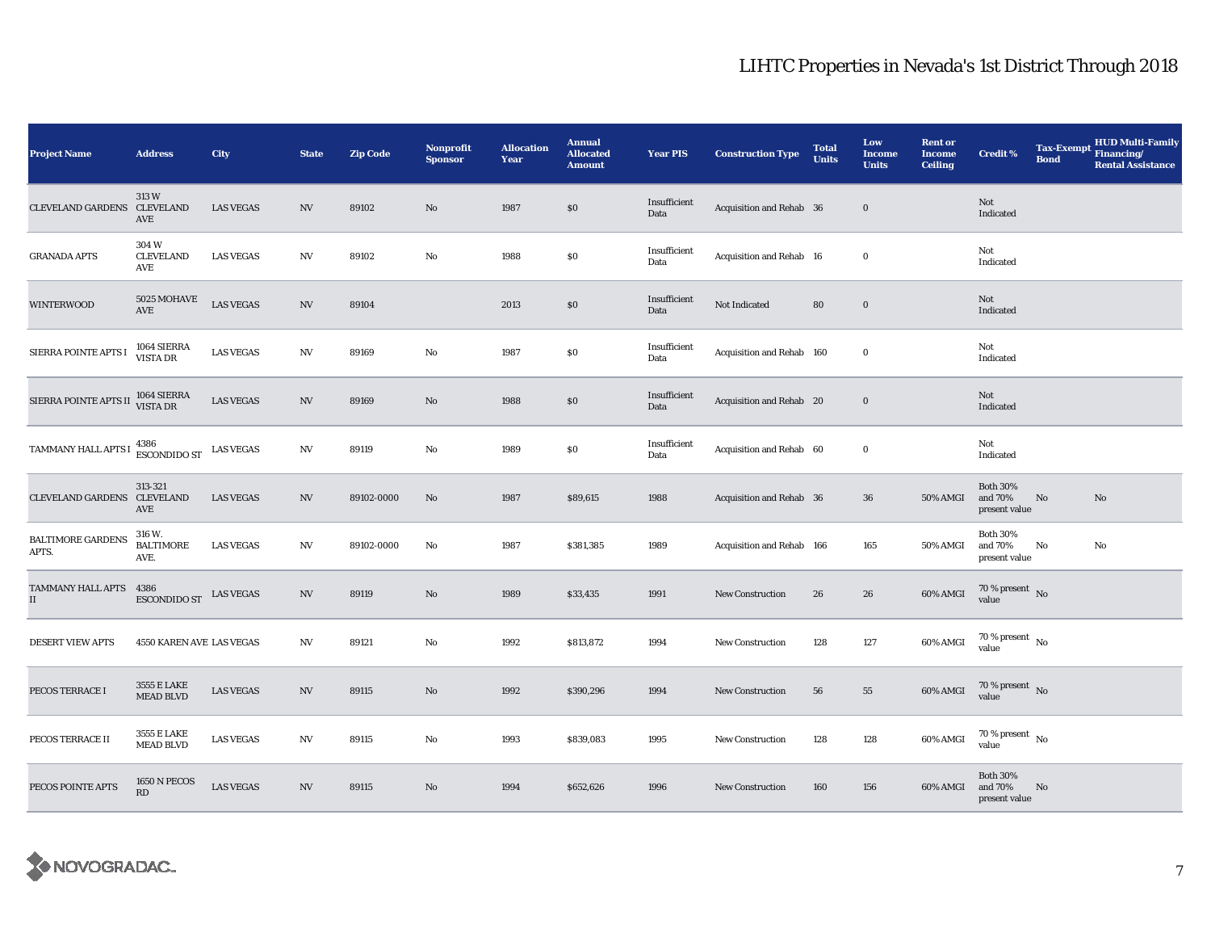| <b>Project Name</b>               | <b>Address</b>                         | City             | <b>State</b>             | <b>Zip Code</b> | <b>Nonprofit</b><br><b>Sponsor</b> | <b>Allocation</b><br>Year | <b>Annual</b><br><b>Allocated</b><br><b>Amount</b> | <b>Year PIS</b>      | <b>Construction Type</b>  | <b>Total</b><br><b>Units</b> | Low<br><b>Income</b><br><b>Units</b> | <b>Rent or</b><br><b>Income</b><br><b>Ceiling</b> | <b>Credit %</b>                             | <b>Tax-Exempt</b><br><b>Bond</b> | HUD Multi-Family<br>Financing/<br><b>Rental Assistance</b> |
|-----------------------------------|----------------------------------------|------------------|--------------------------|-----------------|------------------------------------|---------------------------|----------------------------------------------------|----------------------|---------------------------|------------------------------|--------------------------------------|---------------------------------------------------|---------------------------------------------|----------------------------------|------------------------------------------------------------|
| CLEVELAND GARDENS CLEVELAND       | 313W<br>AVE                            | <b>LAS VEGAS</b> | N V                      | 89102           | $\mathbf{N}\mathbf{o}$             | 1987                      | \$0                                                | Insufficient<br>Data | Acquisition and Rehab 36  |                              | $\bf{0}$                             |                                                   | Not<br>Indicated                            |                                  |                                                            |
| <b>GRANADA APTS</b>               | 304W<br><b>CLEVELAND</b><br>AVE        | <b>LAS VEGAS</b> | NV                       | 89102           | $\mathbf{No}$                      | 1988                      | \$0                                                | Insufficient<br>Data | Acquisition and Rehab 16  |                              | $\bf{0}$                             |                                                   | Not<br>Indicated                            |                                  |                                                            |
| <b>WINTERWOOD</b>                 | 5025 MOHAVE<br>AVE                     | <b>LAS VEGAS</b> | $\mathbf{N}\mathbf{V}$   | 89104           |                                    | 2013                      | $\$0$                                              | Insufficient<br>Data | Not Indicated             | 80                           | $\bf{0}$                             |                                                   | Not<br>Indicated                            |                                  |                                                            |
| SIERRA POINTE APTS I              | 1064 SIERRA<br>VISTA DR                | <b>LAS VEGAS</b> | $\ensuremath{\text{NV}}$ | 89169           | $\rm No$                           | 1987                      | \$0                                                | Insufficient<br>Data | Acquisition and Rehab 160 |                              | $\bf{0}$                             |                                                   | Not<br>Indicated                            |                                  |                                                            |
| SIERRA POINTE APTS II             | 1064 SIERRA<br>VISTA DR                | <b>LAS VEGAS</b> | $\ensuremath{\text{NV}}$ | 89169           | No                                 | 1988                      | \$0                                                | Insufficient<br>Data | Acquisition and Rehab 20  |                              | $\mathbf 0$                          |                                                   | Not<br>Indicated                            |                                  |                                                            |
| TAMMANY HALL APTS I               | 4386<br>ESCONDIDO ST<br>LAS VEGAS      |                  | $\ensuremath{\text{NV}}$ | 89119           | No                                 | 1989                      | \$0                                                | Insufficient<br>Data | Acquisition and Rehab 60  |                              | $\bf{0}$                             |                                                   | Not<br>Indicated                            |                                  |                                                            |
| CLEVELAND GARDENS CLEVELAND       | 313-321<br>AVE                         | <b>LAS VEGAS</b> | NV                       | 89102-0000      | No                                 | 1987                      | \$89,615                                           | 1988                 | Acquisition and Rehab 36  |                              | 36                                   | 50% AMGI                                          | <b>Both 30%</b><br>and 70%<br>present value | No                               | No                                                         |
| <b>BALTIMORE GARDENS</b><br>APTS. | 316 W.<br><b>BALTIMORE</b><br>AVE.     | <b>LAS VEGAS</b> | $\ensuremath{\text{NV}}$ | 89102-0000      | No                                 | 1987                      | \$381,385                                          | 1989                 | Acquisition and Rehab 166 |                              | 165                                  | 50% AMGI                                          | <b>Both 30%</b><br>and 70%<br>present value | No                               | No                                                         |
| TAMMANY HALL APTS<br>$\rm II$     | 4386<br><b>ESCONDIDO ST</b>            | <b>LAS VEGAS</b> | NV                       | 89119           | $\mathbf{N}\mathbf{o}$             | 1989                      | \$33,435                                           | 1991                 | New Construction          | 26                           | 26                                   | 60% AMGI                                          | $70\,\%$ present $\,$ No value              |                                  |                                                            |
| <b>DESERT VIEW APTS</b>           | 4550 KAREN AVE LAS VEGAS               |                  | NV                       | 89121           | No                                 | 1992                      | \$813,872                                          | 1994                 | <b>New Construction</b>   | 128                          | 127                                  | 60% AMGI                                          | $70$ % present $\,$ No $\,$<br>value        |                                  |                                                            |
| PECOS TERRACE I                   | 3555 E LAKE<br><b>MEAD BLVD</b>        | <b>LAS VEGAS</b> | $_{\mathrm{NV}}$         | 89115           | No                                 | 1992                      | \$390,296                                          | 1994                 | New Construction          | 56                           | 55                                   | 60% AMGI                                          | $70\,\%$ present $\,$ No value              |                                  |                                                            |
| PECOS TERRACE II                  | 3555 E LAKE<br><b>MEAD BLVD</b>        | <b>LAS VEGAS</b> | NV                       | 89115           | No                                 | 1993                      | \$839,083                                          | 1995                 | <b>New Construction</b>   | 128                          | 128                                  | 60% AMGI                                          | $70$ % present $\,$ No $\,$<br>value        |                                  |                                                            |
| PECOS POINTE APTS                 | 1650 N PECOS<br>$\mathbf{R}\mathbf{D}$ | <b>LAS VEGAS</b> | NV                       | 89115           | $\mathbf{No}$                      | 1994                      | \$652,626                                          | 1996                 | New Construction          | 160                          | 156                                  | 60% AMGI                                          | <b>Both 30%</b><br>and 70%<br>present value | No                               |                                                            |